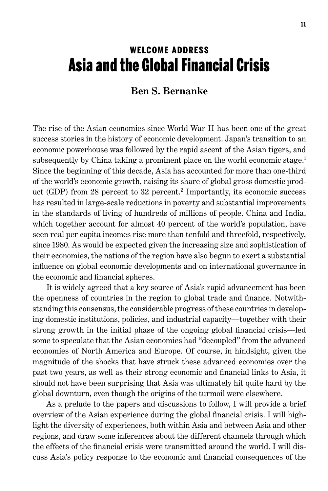# Welcome Address Asia and the Global Financial Crisis

### **Ben S. Bernanke**

The rise of the Asian economies since World War II has been one of the great success stories in the history of economic development. Japan's transition to an economic powerhouse was followed by the rapid ascent of the Asian tigers, and subsequently by China taking a prominent place on the world economic stage. 1 Since the beginning of this decade, Asia has accounted for more than one-third of the world's economic growth, raising its share of global gross domestic product (GDP) from 28 percent to 32 percent. 2 Importantly, its economic success has resulted in large-scale reductions in poverty and substantial improvements in the standards of living of hundreds of millions of people. China and India, which together account for almost 40 percent of the world's population, have seen real per capita incomes rise more than tenfold and threefold, respectively, since 1980. As would be expected given the increasing size and sophistication of their economies, the nations of the region have also begun to exert a substantial influence on global economic developments and on international governance in the economic and financial spheres.

It is widely agreed that a key source of Asia's rapid advancement has been the openness of countries in the region to global trade and finance. Notwithstanding this consensus, the considerable progress of these countries in developing domestic institutions, policies, and industrial capacity—together with their strong growth in the initial phase of the ongoing global financial crisis—led some to speculate that the Asian economies had "decoupled" from the advanced economies of North America and Europe. Of course, in hindsight, given the magnitude of the shocks that have struck these advanced economies over the past two years, as well as their strong economic and financial links to Asia, it should not have been surprising that Asia was ultimately hit quite hard by the global downturn, even though the origins of the turmoil were elsewhere.

As a prelude to the papers and discussions to follow, I will provide a brief overview of the Asian experience during the global financial crisis. I will highlight the diversity of experiences, both within Asia and between Asia and other regions, and draw some inferences about the different channels through which the effects of the financial crisis were transmitted around the world. I will discuss Asia's policy response to the economic and financial consequences of the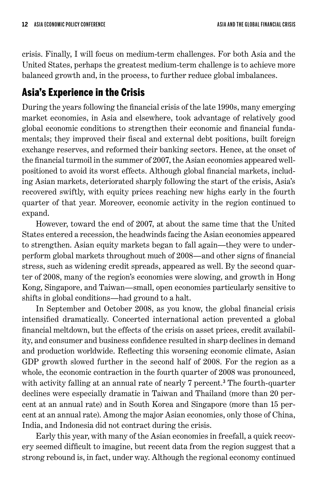crisis. Finally, I will focus on medium-term challenges. For both Asia and the United States, perhaps the greatest medium-term challenge is to achieve more balanced growth and, in the process, to further reduce global imbalances.

# Asia's Experience in the Crisis

During the years following the financial crisis of the late 1990s, many emerging market economies, in Asia and elsewhere, took advantage of relatively good global economic conditions to strengthen their economic and financial fundamentals; they improved their fiscal and external debt positions, built foreign exchange reserves, and reformed their banking sectors. Hence, at the onset of the financial turmoil in the summer of 2007, the Asian economies appeared wellpositioned to avoid its worst effects. Although global financial markets, including Asian markets, deteriorated sharply following the start of the crisis, Asia's recovered swiftly, with equity prices reaching new highs early in the fourth quarter of that year. Moreover, economic activity in the region continued to expand.

However, toward the end of 2007, at about the same time that the United States entered a recession, the headwinds facing the Asian economies appeared to strengthen. Asian equity markets began to fall again—they were to underperform global markets throughout much of 2008—and other signs of financial stress, such as widening credit spreads, appeared as well. By the second quarter of 2008, many of the region's economies were slowing, and growth in Hong Kong, Singapore, and Taiwan—small, open economies particularly sensitive to shifts in global conditions—had ground to a halt.

In September and October 2008, as you know, the global financial crisis intensified dramatically. Concerted international action prevented a global financial meltdown, but the effects of the crisis on asset prices, credit availability, and consumer and business confidence resulted in sharp declines in demand and production worldwide. Reflecting this worsening economic climate, Asian GDP growth slowed further in the second half of 2008. For the region as a whole, the economic contraction in the fourth quarter of 2008 was pronounced, with activity falling at an annual rate of nearly 7 percent.<sup>3</sup> The fourth-quarter declines were especially dramatic in Taiwan and Thailand (more than 20 percent at an annual rate) and in South Korea and Singapore (more than 15 percent at an annual rate). Among the major Asian economies, only those of China, India, and Indonesia did not contract during the crisis.

Early this year, with many of the Asian economies in freefall, a quick recovery seemed difficult to imagine, but recent data from the region suggest that a strong rebound is, in fact, under way. Although the regional economy continued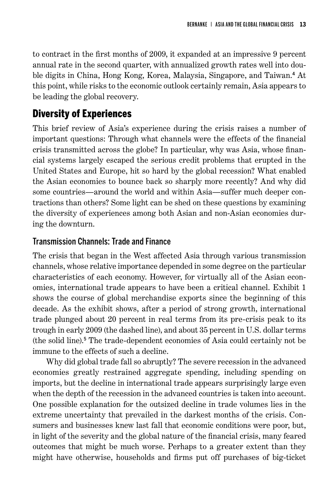to contract in the first months of 2009, it expanded at an impressive 9 percent annual rate in the second quarter, with annualized growth rates well into double digits in China, Hong Kong, Korea, Malaysia, Singapore, and Taiwan. 4 At this point, while risks to the economic outlook certainly remain, Asia appears to be leading the global recovery.

# Diversity of Experiences

This brief review of Asia's experience during the crisis raises a number of important questions: Through what channels were the effects of the financial crisis transmitted across the globe? In particular, why was Asia, whose financial systems largely escaped the serious credit problems that erupted in the United States and Europe, hit so hard by the global recession? What enabled the Asian economies to bounce back so sharply more recently? And why did some countries—around the world and within Asia—suffer much deeper contractions than others? Some light can be shed on these questions by examining the diversity of experiences among both Asian and non-Asian economies during the downturn.

#### Transmission Channels: Trade and Finance

The crisis that began in the West affected Asia through various transmission channels, whose relative importance depended in some degree on the particular characteristics of each economy. However, for virtually all of the Asian economies, international trade appears to have been a critical channel. Exhibit 1 shows the course of global merchandise exports since the beginning of this decade. As the exhibit shows, after a period of strong growth, international trade plunged about 20 percent in real terms from its pre-crisis peak to its trough in early 2009 (the dashed line), and about 35 percent in U.S. dollar terms (the solid line). 5 The trade-dependent economies of Asia could certainly not be immune to the effects of such a decline.

Why did global trade fall so abruptly? The severe recession in the advanced economies greatly restrained aggregate spending, including spending on imports, but the decline in international trade appears surprisingly large even when the depth of the recession in the advanced countries is taken into account. One possible explanation for the outsized decline in trade volumes lies in the extreme uncertainty that prevailed in the darkest months of the crisis. Consumers and businesses knew last fall that economic conditions were poor, but, in light of the severity and the global nature of the financial crisis, many feared outcomes that might be much worse. Perhaps to a greater extent than they might have otherwise, households and firms put off purchases of big-ticket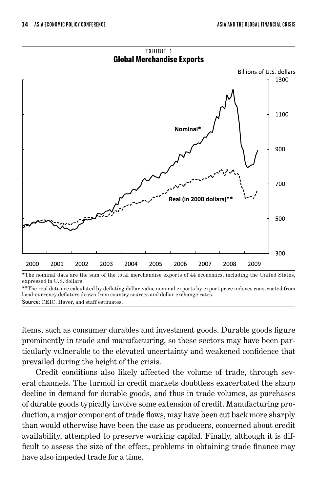

\*The nominal data are the sum of the total merchandise exports of 44 economics, including the United States, expressed in U.S. dollars.

\*\*The real data are calculated by deflating dollar-value nominal exports by export price indexes constructed from local-currency deflators drawn from country sources and dollar exchange rates. Source: CEIC, Haver, and staff estimates.

items, such as consumer durables and investment goods. Durable goods figure prominently in trade and manufacturing, so these sectors may have been particularly vulnerable to the elevated uncertainty and weakened confidence that prevailed during the height of the crisis.

Credit conditions also likely affected the volume of trade, through several channels. The turmoil in credit markets doubtless exacerbated the sharp decline in demand for durable goods, and thus in trade volumes, as purchases of durable goods typically involve some extension of credit. Manufacturing production, a major component of trade flows, may have been cut back more sharply than would otherwise have been the case as producers, concerned about credit availability, attempted to preserve working capital. Finally, although it is difficult to assess the size of the effect, problems in obtaining trade finance may have also impeded trade for a time.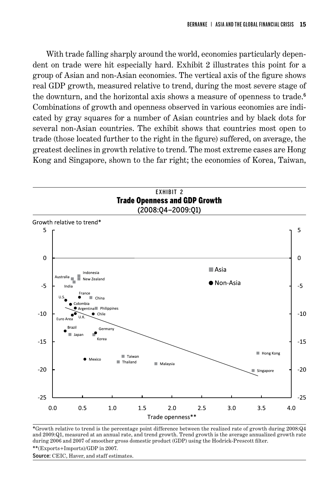With trade falling sharply around the world, economies particularly dependent on trade were hit especially hard. Exhibit 2 illustrates this point for a group of Asian and non-Asian economies. The vertical axis of the figure shows real GDP growth, measured relative to trend, during the most severe stage of the downturn, and the horizontal axis shows a measure of openness to trade. 6 Combinations of growth and openness observed in various economies are indicated by gray squares for a number of Asian countries and by black dots for several non-Asian countries. The exhibit shows that countries most open to trade (those located further to the right in the figure) suffered, on average, the greatest declines in growth relative to trend. The most extreme cases are Hong Kong and Singapore, shown to the far right; the economies of Korea, Taiwan,



\*Growth relative to trend is the percentage point difference between the realized rate of growth during 2008:Q4 and 2009:Q1, measured at an annual rate, and trend growth. Trend growth is the average annualized growth rate during 2006 and 2007 of smoother gross domestic product (GDP) using the Hodrick-Prescott filter. \*\*(Exports+Imports)/GDP in 2007.

Source: CEIC, Haver, and staff estimates.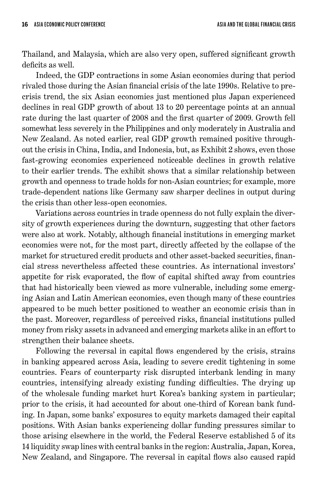Thailand, and Malaysia, which are also very open, suffered significant growth deficits as well.

Indeed, the GDP contractions in some Asian economies during that period rivaled those during the Asian financial crisis of the late 1990s. Relative to precrisis trend, the six Asian economies just mentioned plus Japan experienced declines in real GDP growth of about 13 to 20 percentage points at an annual rate during the last quarter of 2008 and the first quarter of 2009. Growth fell somewhat less severely in the Philippines and only moderately in Australia and New Zealand. As noted earlier, real GDP growth remained positive throughout the crisis in China, India, and Indonesia, but, as Exhibit 2 shows, even those fast-growing economies experienced noticeable declines in growth relative to their earlier trends. The exhibit shows that a similar relationship between growth and openness to trade holds for non-Asian countries; for example, more trade-dependent nations like Germany saw sharper declines in output during the crisis than other less-open economies.

Variations across countries in trade openness do not fully explain the diversity of growth experiences during the downturn, suggesting that other factors were also at work. Notably, although financial institutions in emerging market economies were not, for the most part, directly affected by the collapse of the market for structured credit products and other asset-backed securities, financial stress nevertheless affected these countries. As international investors' appetite for risk evaporated, the flow of capital shifted away from countries that had historically been viewed as more vulnerable, including some emerging Asian and Latin American economies, even though many of these countries appeared to be much better positioned to weather an economic crisis than in the past. Moreover, regardless of perceived risks, financial institutions pulled money from risky assets in advanced and emerging markets alike in an effort to strengthen their balance sheets.

Following the reversal in capital flows engendered by the crisis, strains in banking appeared across Asia, leading to severe credit tightening in some countries. Fears of counterparty risk disrupted interbank lending in many countries, intensifying already existing funding difficulties. The drying up of the wholesale funding market hurt Korea's banking system in particular; prior to the crisis, it had accounted for about one-third of Korean bank funding. In Japan, some banks' exposures to equity markets damaged their capital positions. With Asian banks experiencing dollar funding pressures similar to those arising elsewhere in the world, the Federal Reserve established 5 of its 14 liquidity swap lines with central banks in the region: Australia, Japan, Korea, New Zealand, and Singapore. The reversal in capital flows also caused rapid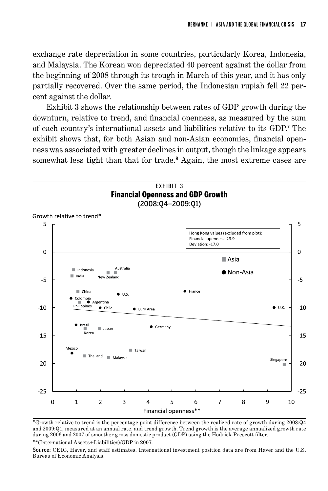exchange rate depreciation in some countries, particularly Korea, Indonesia, and Malaysia. The Korean won depreciated 40 percent against the dollar from the beginning of 2008 through its trough in March of this year, and it has only partially recovered. Over the same period, the Indonesian rupiah fell 22 percent against the dollar.

Exhibit 3 shows the relationship between rates of GDP growth during the downturn, relative to trend, and financial openness, as measured by the sum of each country's international assets and liabilities relative to its GDP. 7 The exhibit shows that, for both Asian and non-Asian economies, financial openness was associated with greater declines in output, though the linkage appears somewhat less tight than that for trade.<sup>8</sup> Again, the most extreme cases are



\*Growth relative to trend is the percentage point difference between the realized rate of growth during 2008:Q4 and 2009:Q1, measured at an annual rate, and trend growth. Trend growth is the average annualized growth rate during 2006 and 2007 of smoother gross domestic product (GDP) using the Hodrick-Prescott filter.

\*\*(International Assets+Liabilities)/GDP in 2007.

Source: CEIC, Haver, and staff estimates. International investment position data are from Haver and the U.S. Bureau of Economic Analysis.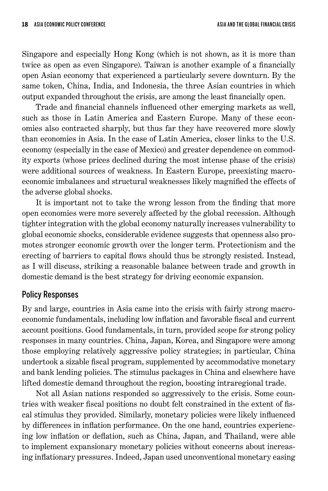Singapore and especially Hong Kong (which is not shown, as it is more than twice as open as even Singapore). Taiwan is another example of a financially open Asian economy that experienced a particularly severe downturn. By the same token, China, India, and Indonesia, the three Asian countries in which output expanded throughout the crisis, are among the least financially open.

Trade and financial channels influenced other emerging markets as well, such as those in Latin America and Eastern Europe. Many of these economies also contracted sharply, but thus far they have recovered more slowly than economies in Asia. In the case of Latin America, closer links to the U.S. economy (especially in the case of Mexico) and greater dependence on commodity exports (whose prices declined during the most intense phase of the crisis) were additional sources of weakness. In Eastern Europe, preexisting macroeconomic imbalances and structural weaknesses likely magnified the effects of the adverse global shocks.

It is important not to take the wrong lesson from the finding that more open economies were more severely affected by the global recession. Although tighter integration with the global economy naturally increases vulnerability to global economic shocks, considerable evidence suggests that openness also promotes stronger economic growth over the longer term. Protectionism and the erecting of barriers to capital flows should thus be strongly resisted. Instead, as I will discuss, striking a reasonable balance between trade and growth in domestic demand is the best strategy for driving economic expansion.

#### Policy Responses

By and large, countries in Asia came into the crisis with fairly strong macroeconomic fundamentals, including low inflation and favorable fiscal and current account positions. Good fundamentals, in turn, provided scope for strong policy responses in many countries. China, Japan, Korea, and Singapore were among those employing relatively aggressive policy strategies; in particular, China undertook a sizable fiscal program, supplemented by accommodative monetary and bank lending policies. The stimulus packages in China and elsewhere have lifted domestic demand throughout the region, boosting intraregional trade.

Not all Asian nations responded so aggressively to the crisis. Some countries with weaker fiscal positions no doubt felt constrained in the extent of fiscal stimulus they provided. Similarly, monetary policies were likely influenced by differences in inflation performance. On the one hand, countries experiencing low inflation or deflation, such as China, Japan, and Thailand, were able to implement expansionary monetary policies without concerns about increasing inflationary pressures. Indeed, Japan used unconventional monetary easing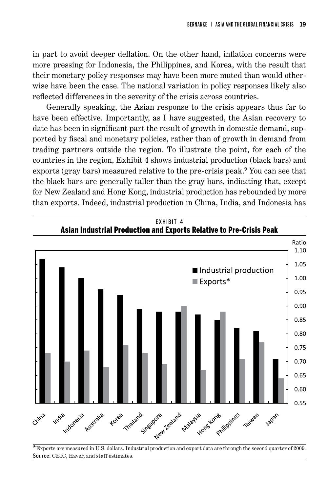in part to avoid deeper deflation. On the other hand, inflation concerns were more pressing for Indonesia, the Philippines, and Korea, with the result that their monetary policy responses may have been more muted than would otherwise have been the case. The national variation in policy responses likely also reflected differences in the severity of the crisis across countries.

Generally speaking, the Asian response to the crisis appears thus far to have been effective. Importantly, as I have suggested, the Asian recovery to date has been in significant part the result of growth in domestic demand, supported by fiscal and monetary policies, rather than of growth in demand from trading partners outside the region. To illustrate the point, for each of the countries in the region, Exhibit 4 shows industrial production (black bars) and exports (gray bars) measured relative to the pre-crisis peak.<sup>9</sup> You can see that the black bars are generally taller than the gray bars, indicating that, except for New Zealand and Hong Kong, industrial production has rebounded by more than exports. Indeed, industrial production in China, India, and Indonesia has



Source: CEIC, Haver, and staff estimates.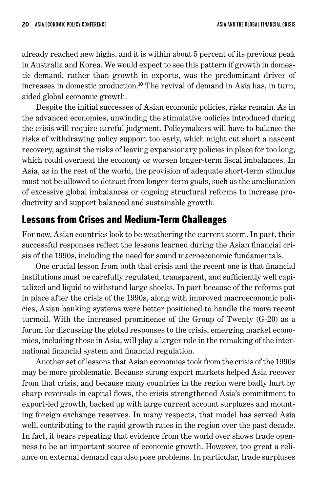already reached new highs, and it is within about 5 percent of its previous peak in Australia and Korea. We would expect to see this pattern if growth in domestic demand, rather than growth in exports, was the predominant driver of increases in domestic production. <sup>10</sup> The revival of demand in Asia has, in turn, aided global economic growth.

Despite the initial successes of Asian economic policies, risks remain. As in the advanced economies, unwinding the stimulative policies introduced during the crisis will require careful judgment. Policymakers will have to balance the risks of withdrawing policy support too early, which might cut short a nascent recovery, against the risks of leaving expansionary policies in place for too long, which could overheat the economy or worsen longer-term fiscal imbalances. In Asia, as in the rest of the world, the provision of adequate short-term stimulus must not be allowed to detract from longer-term goals, such as the amelioration of excessive global imbalances or ongoing structural reforms to increase productivity and support balanced and sustainable growth.

### Lessons from Crises and Medium-Term Challenges

For now, Asian countries look to be weathering the current storm. In part, their successful responses reflect the lessons learned during the Asian financial crisis of the 1990s, including the need for sound macroeconomic fundamentals.

One crucial lesson from both that crisis and the recent one is that financial institutions must be carefully regulated, transparent, and sufficiently well capitalized and liquid to withstand large shocks. In part because of the reforms put in place after the crisis of the 1990s, along with improved macroeconomic policies, Asian banking systems were better positioned to handle the more recent turmoil. With the increased prominence of the Group of Twenty (G-20) as a forum for discussing the global responses to the crisis, emerging market economies, including those in Asia, will play a larger role in the remaking of the international financial system and financial regulation.

Another set of lessons that Asian economies took from the crisis of the 1990s may be more problematic. Because strong export markets helped Asia recover from that crisis, and because many countries in the region were badly hurt by sharp reversals in capital flows, the crisis strengthened Asia's commitment to export-led growth, backed up with large current account surpluses and mounting foreign exchange reserves. In many respects, that model has served Asia well, contributing to the rapid growth rates in the region over the past decade. In fact, it bears repeating that evidence from the world over shows trade openness to be an important source of economic growth. However, too great a reliance on external demand can also pose problems. In particular, trade surpluses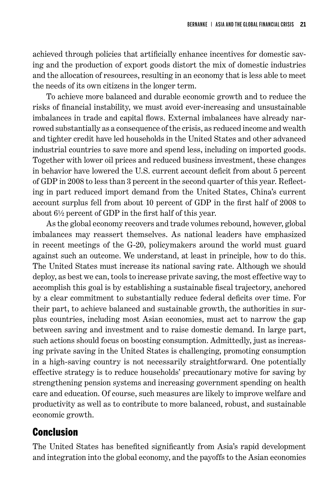achieved through policies that artificially enhance incentives for domestic saving and the production of export goods distort the mix of domestic industries and the allocation of resources, resulting in an economy that is less able to meet the needs of its own citizens in the longer term.

To achieve more balanced and durable economic growth and to reduce the risks of financial instability, we must avoid ever-increasing and unsustainable imbalances in trade and capital flows. External imbalances have already narrowed substantially as a consequence of the crisis, as reduced income and wealth and tighter credit have led households in the United States and other advanced industrial countries to save more and spend less, including on imported goods. Together with lower oil prices and reduced business investment, these changes in behavior have lowered the U.S. current account deficit from about 5 percent of GDP in 2008 to less than 3 percent in the second quarter of this year. Reflecting in part reduced import demand from the United States, China's current account surplus fell from about 10 percent of GDP in the first half of 2008 to about 6½ percent of GDP in the first half of this year.

As the global economy recovers and trade volumes rebound, however, global imbalances may reassert themselves. As national leaders have emphasized in recent meetings of the G-20, policymakers around the world must guard against such an outcome. We understand, at least in principle, how to do this. The United States must increase its national saving rate. Although we should deploy, as best we can, tools to increase private saving, the most effective way to accomplish this goal is by establishing a sustainable fiscal trajectory, anchored by a clear commitment to substantially reduce federal deficits over time. For their part, to achieve balanced and sustainable growth, the authorities in surplus countries, including most Asian economies, must act to narrow the gap between saving and investment and to raise domestic demand. In large part, such actions should focus on boosting consumption. Admittedly, just as increasing private saving in the United States is challenging, promoting consumption in a high-saving country is not necessarily straightforward. One potentially effective strategy is to reduce households' precautionary motive for saving by strengthening pension systems and increasing government spending on health care and education. Of course, such measures are likely to improve welfare and productivity as well as to contribute to more balanced, robust, and sustainable economic growth.

### Conclusion

The United States has benefited significantly from Asia's rapid development and integration into the global economy, and the payoffs to the Asian economies